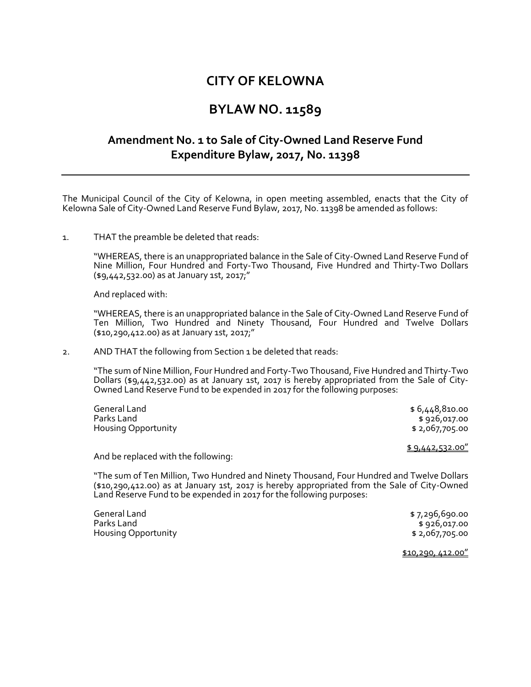# **CITY OF KELOWNA**

### **BYLAW NO. 11589**

## **Amendment No. 1 to Sale of City-Owned Land Reserve Fund Expenditure Bylaw, 2017, No. 11398**

The Municipal Council of the City of Kelowna, in open meeting assembled, enacts that the City of Kelowna Sale of City-Owned Land Reserve Fund Bylaw, 2017, No. 11398 be amended as follows:

#### 1. THAT the preamble be deleted that reads:

"WHEREAS, there is an unappropriated balance in the Sale of City-Owned Land Reserve Fund of Nine Million, Four Hundred and Forty-Two Thousand, Five Hundred and Thirty-Two Dollars (\$9,442,532.00) as at January 1st, 2017;"

And replaced with:

"WHEREAS, there is an unappropriated balance in the Sale of City-Owned Land Reserve Fund of Ten Million, Two Hundred and Ninety Thousand, Four Hundred and Twelve Dollars (\$10,290,412.00) as at January 1st, 2017;"

2. AND THAT the following from Section 1 be deleted that reads:

"The sum of Nine Million, Four Hundred and Forty-Two Thousand, Five Hundred and Thirty-Two Dollars (\$9,442,532.00) as at January 1st, 2017 is hereby appropriated from the Sale of City-Owned Land Reserve Fund to be expended in 2017 for the following purposes:

| General Land               | \$6,448,810.00   |
|----------------------------|------------------|
| Parks Land                 | \$ 926,017.00    |
| <b>Housing Opportunity</b> | \$ 2,067,705.00  |
|                            | \$9,442,532.00'' |

And be replaced with the following:

"The sum of Ten Million, Two Hundred and Ninety Thousand, Four Hundred and Twelve Dollars (\$10,290,412.00) as at January 1st, 2017 is hereby appropriated from the Sale of City-Owned Land Reserve Fund to be expended in 2017 for the following purposes:

| General Land               | \$7,296,690.00  |
|----------------------------|-----------------|
| Parks Land                 | \$ 926,017.00   |
| <b>Housing Opportunity</b> | \$ 2,067,705.00 |

\$10,290, 412.00"